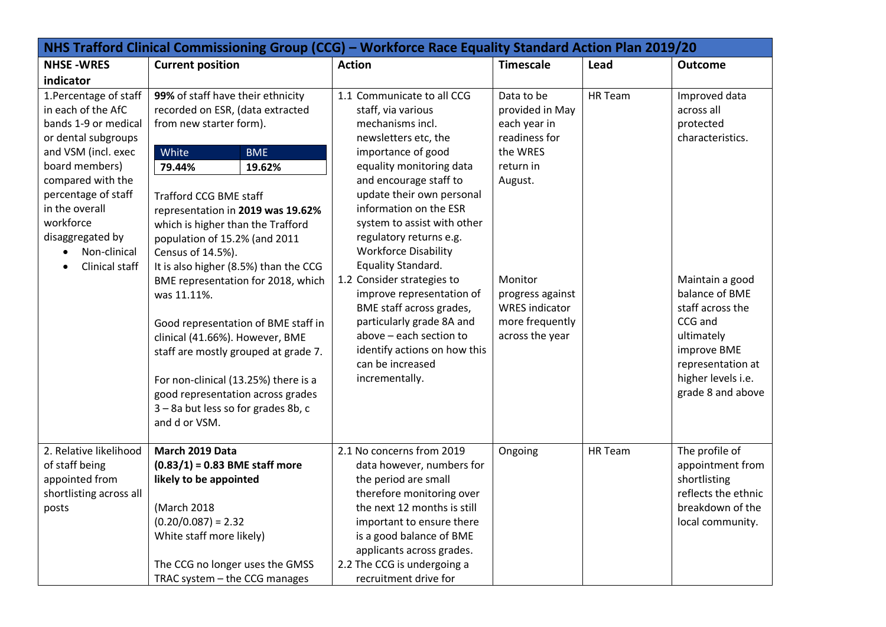| NHS Trafford Clinical Commissioning Group (CCG) - Workforce Race Equality Standard Action Plan 2019/20 |                                       |                                                          |                       |         |                                         |
|--------------------------------------------------------------------------------------------------------|---------------------------------------|----------------------------------------------------------|-----------------------|---------|-----------------------------------------|
| <b>NHSE-WRES</b>                                                                                       | <b>Current position</b>               | <b>Action</b>                                            | <b>Timescale</b>      | Lead    | <b>Outcome</b>                          |
| indicator                                                                                              |                                       |                                                          |                       |         |                                         |
| 1. Percentage of staff                                                                                 | 99% of staff have their ethnicity     | 1.1 Communicate to all CCG                               | Data to be            | HR Team | Improved data                           |
| in each of the AfC                                                                                     | recorded on ESR, (data extracted      | staff, via various                                       | provided in May       |         | across all                              |
| bands 1-9 or medical                                                                                   | from new starter form).               | mechanisms incl.                                         | each year in          |         | protected                               |
| or dental subgroups                                                                                    |                                       | newsletters etc, the                                     | readiness for         |         | characteristics.                        |
| and VSM (incl. exec                                                                                    | White<br><b>BME</b>                   | importance of good                                       | the WRES              |         |                                         |
| board members)                                                                                         | 79.44%<br>19.62%                      | equality monitoring data                                 | return in             |         |                                         |
| compared with the                                                                                      |                                       | and encourage staff to                                   | August.               |         |                                         |
| percentage of staff                                                                                    | <b>Trafford CCG BME staff</b>         | update their own personal                                |                       |         |                                         |
| in the overall                                                                                         | representation in 2019 was 19.62%     | information on the ESR                                   |                       |         |                                         |
| workforce                                                                                              | which is higher than the Trafford     | system to assist with other                              |                       |         |                                         |
| disaggregated by                                                                                       | population of 15.2% (and 2011         | regulatory returns e.g.                                  |                       |         |                                         |
| Non-clinical                                                                                           | Census of 14.5%).                     | <b>Workforce Disability</b>                              |                       |         |                                         |
| Clinical staff                                                                                         | It is also higher (8.5%) than the CCG | Equality Standard.                                       |                       |         |                                         |
|                                                                                                        | BME representation for 2018, which    | 1.2 Consider strategies to                               | Monitor               |         | Maintain a good                         |
|                                                                                                        | was 11.11%.                           | improve representation of                                | progress against      |         | balance of BME                          |
|                                                                                                        |                                       | BME staff across grades,                                 | <b>WRES</b> indicator |         | staff across the                        |
|                                                                                                        | Good representation of BME staff in   | particularly grade 8A and                                | more frequently       |         | CCG and                                 |
|                                                                                                        | clinical (41.66%). However, BME       | above - each section to                                  | across the year       |         | ultimately                              |
|                                                                                                        | staff are mostly grouped at grade 7.  | identify actions on how this                             |                       |         | improve BME                             |
|                                                                                                        |                                       | can be increased                                         |                       |         | representation at                       |
|                                                                                                        | For non-clinical (13.25%) there is a  | incrementally.                                           |                       |         | higher levels i.e.                      |
|                                                                                                        | good representation across grades     |                                                          |                       |         | grade 8 and above                       |
|                                                                                                        | 3-8a but less so for grades 8b, c     |                                                          |                       |         |                                         |
|                                                                                                        | and d or VSM.                         |                                                          |                       |         |                                         |
|                                                                                                        |                                       |                                                          |                       |         |                                         |
| 2. Relative likelihood                                                                                 | March 2019 Data                       | 2.1 No concerns from 2019                                | Ongoing               | HR Team | The profile of                          |
| of staff being                                                                                         | $(0.83/1) = 0.83$ BME staff more      | data however, numbers for                                |                       |         | appointment from                        |
| appointed from                                                                                         | likely to be appointed                | the period are small                                     |                       |         | shortlisting                            |
| shortlisting across all                                                                                |                                       | therefore monitoring over<br>the next 12 months is still |                       |         | reflects the ethnic<br>breakdown of the |
| posts                                                                                                  | (March 2018                           |                                                          |                       |         |                                         |
|                                                                                                        | $(0.20/0.087) = 2.32$                 | important to ensure there                                |                       |         | local community.                        |
|                                                                                                        | White staff more likely)              | is a good balance of BME<br>applicants across grades.    |                       |         |                                         |
|                                                                                                        | The CCG no longer uses the GMSS       | 2.2 The CCG is undergoing a                              |                       |         |                                         |
|                                                                                                        |                                       |                                                          |                       |         |                                         |
|                                                                                                        | TRAC system $-$ the CCG manages       | recruitment drive for                                    |                       |         |                                         |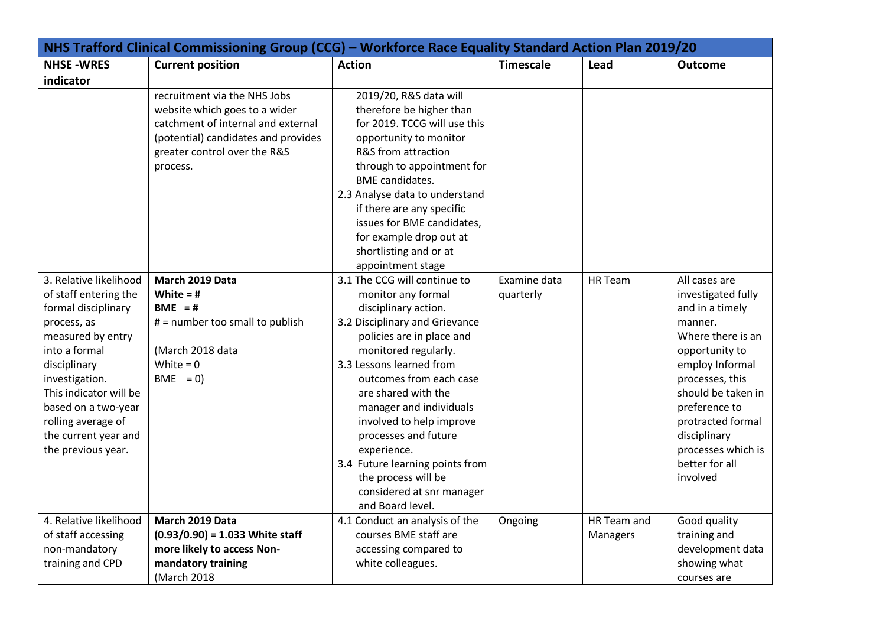| NHS Trafford Clinical Commissioning Group (CCG) - Workforce Race Equality Standard Action Plan 2019/20                                                                                                                                                                             |                                                                                                                                                                                        |                                                                                                                                                                                                                                                                                                                                                                                                                                                          |                           |                         |                                                                                                                                                                                                                                                                                |
|------------------------------------------------------------------------------------------------------------------------------------------------------------------------------------------------------------------------------------------------------------------------------------|----------------------------------------------------------------------------------------------------------------------------------------------------------------------------------------|----------------------------------------------------------------------------------------------------------------------------------------------------------------------------------------------------------------------------------------------------------------------------------------------------------------------------------------------------------------------------------------------------------------------------------------------------------|---------------------------|-------------------------|--------------------------------------------------------------------------------------------------------------------------------------------------------------------------------------------------------------------------------------------------------------------------------|
| <b>NHSE-WRES</b>                                                                                                                                                                                                                                                                   | <b>Current position</b>                                                                                                                                                                | <b>Action</b>                                                                                                                                                                                                                                                                                                                                                                                                                                            | <b>Timescale</b>          | Lead                    | <b>Outcome</b>                                                                                                                                                                                                                                                                 |
| indicator                                                                                                                                                                                                                                                                          |                                                                                                                                                                                        |                                                                                                                                                                                                                                                                                                                                                                                                                                                          |                           |                         |                                                                                                                                                                                                                                                                                |
|                                                                                                                                                                                                                                                                                    | recruitment via the NHS Jobs<br>website which goes to a wider<br>catchment of internal and external<br>(potential) candidates and provides<br>greater control over the R&S<br>process. | 2019/20, R&S data will<br>therefore be higher than<br>for 2019. TCCG will use this<br>opportunity to monitor<br>R&S from attraction<br>through to appointment for<br><b>BME</b> candidates.<br>2.3 Analyse data to understand<br>if there are any specific<br>issues for BME candidates,<br>for example drop out at<br>shortlisting and or at<br>appointment stage                                                                                       |                           |                         |                                                                                                                                                                                                                                                                                |
| 3. Relative likelihood<br>of staff entering the<br>formal disciplinary<br>process, as<br>measured by entry<br>into a formal<br>disciplinary<br>investigation.<br>This indicator will be<br>based on a two-year<br>rolling average of<br>the current year and<br>the previous year. | March 2019 Data<br>White = $#$<br>BME = $#$<br># = number too small to publish<br>(March 2018 data<br>White = $0$<br>$BME = 0$                                                         | 3.1 The CCG will continue to<br>monitor any formal<br>disciplinary action.<br>3.2 Disciplinary and Grievance<br>policies are in place and<br>monitored regularly.<br>3.3 Lessons learned from<br>outcomes from each case<br>are shared with the<br>manager and individuals<br>involved to help improve<br>processes and future<br>experience.<br>3.4 Future learning points from<br>the process will be<br>considered at snr manager<br>and Board level. | Examine data<br>quarterly | HR Team                 | All cases are<br>investigated fully<br>and in a timely<br>manner.<br>Where there is an<br>opportunity to<br>employ Informal<br>processes, this<br>should be taken in<br>preference to<br>protracted formal<br>disciplinary<br>processes which is<br>better for all<br>involved |
| 4. Relative likelihood<br>of staff accessing<br>non-mandatory<br>training and CPD                                                                                                                                                                                                  | March 2019 Data<br>$(0.93/0.90) = 1.033$ White staff<br>more likely to access Non-<br>mandatory training<br>(March 2018                                                                | 4.1 Conduct an analysis of the<br>courses BME staff are<br>accessing compared to<br>white colleagues.                                                                                                                                                                                                                                                                                                                                                    | Ongoing                   | HR Team and<br>Managers | Good quality<br>training and<br>development data<br>showing what<br>courses are                                                                                                                                                                                                |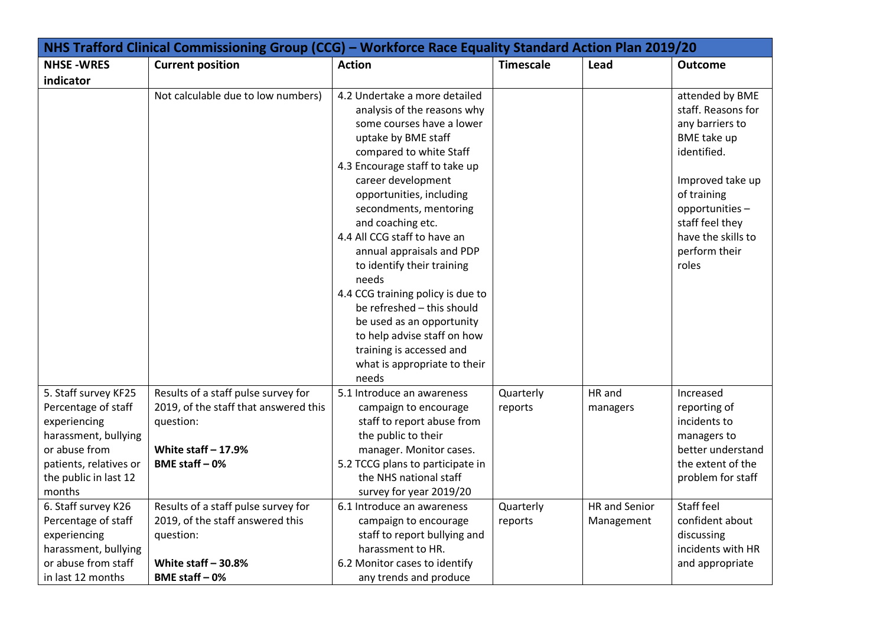| NHS Trafford Clinical Commissioning Group (CCG) - Workforce Race Equality Standard Action Plan 2019/20                                                                                   |                                                                                                                                                                              |                                                                                                                                                                                                                                                                                                                                                                                                                                                                                                                                                                                        |                                   |                                            |                                                                                                                                                                                                                |
|------------------------------------------------------------------------------------------------------------------------------------------------------------------------------------------|------------------------------------------------------------------------------------------------------------------------------------------------------------------------------|----------------------------------------------------------------------------------------------------------------------------------------------------------------------------------------------------------------------------------------------------------------------------------------------------------------------------------------------------------------------------------------------------------------------------------------------------------------------------------------------------------------------------------------------------------------------------------------|-----------------------------------|--------------------------------------------|----------------------------------------------------------------------------------------------------------------------------------------------------------------------------------------------------------------|
| <b>NHSE-WRES</b>                                                                                                                                                                         | <b>Current position</b>                                                                                                                                                      | <b>Action</b>                                                                                                                                                                                                                                                                                                                                                                                                                                                                                                                                                                          | <b>Timescale</b>                  | Lead                                       | <b>Outcome</b>                                                                                                                                                                                                 |
| indicator                                                                                                                                                                                |                                                                                                                                                                              |                                                                                                                                                                                                                                                                                                                                                                                                                                                                                                                                                                                        |                                   |                                            |                                                                                                                                                                                                                |
|                                                                                                                                                                                          | Not calculable due to low numbers)                                                                                                                                           | 4.2 Undertake a more detailed<br>analysis of the reasons why<br>some courses have a lower<br>uptake by BME staff<br>compared to white Staff<br>4.3 Encourage staff to take up<br>career development<br>opportunities, including<br>secondments, mentoring<br>and coaching etc.<br>4.4 All CCG staff to have an<br>annual appraisals and PDP<br>to identify their training<br>needs<br>4.4 CCG training policy is due to<br>be refreshed - this should<br>be used as an opportunity<br>to help advise staff on how<br>training is accessed and<br>what is appropriate to their<br>needs |                                   |                                            | attended by BME<br>staff. Reasons for<br>any barriers to<br>BME take up<br>identified.<br>Improved take up<br>of training<br>opportunities-<br>staff feel they<br>have the skills to<br>perform their<br>roles |
| 5. Staff survey KF25<br>Percentage of staff<br>experiencing<br>harassment, bullying<br>or abuse from<br>patients, relatives or<br>the public in last 12<br>months<br>6. Staff survey K26 | Results of a staff pulse survey for<br>2019, of the staff that answered this<br>question:<br>White staff $-17.9%$<br>BME staff $-0$ %<br>Results of a staff pulse survey for | 5.1 Introduce an awareness<br>campaign to encourage<br>staff to report abuse from<br>the public to their<br>manager. Monitor cases.<br>5.2 TCCG plans to participate in<br>the NHS national staff<br>survey for year 2019/20<br>6.1 Introduce an awareness                                                                                                                                                                                                                                                                                                                             | Quarterly<br>reports<br>Quarterly | HR and<br>managers<br><b>HR</b> and Senior | Increased<br>reporting of<br>incidents to<br>managers to<br>better understand<br>the extent of the<br>problem for staff<br>Staff feel                                                                          |
| Percentage of staff<br>experiencing<br>harassment, bullying<br>or abuse from staff<br>in last 12 months                                                                                  | 2019, of the staff answered this<br>question:<br>White staff $-30.8%$<br>BME staff - 0%                                                                                      | campaign to encourage<br>staff to report bullying and<br>harassment to HR.<br>6.2 Monitor cases to identify<br>any trends and produce                                                                                                                                                                                                                                                                                                                                                                                                                                                  | reports                           | Management                                 | confident about<br>discussing<br>incidents with HR<br>and appropriate                                                                                                                                          |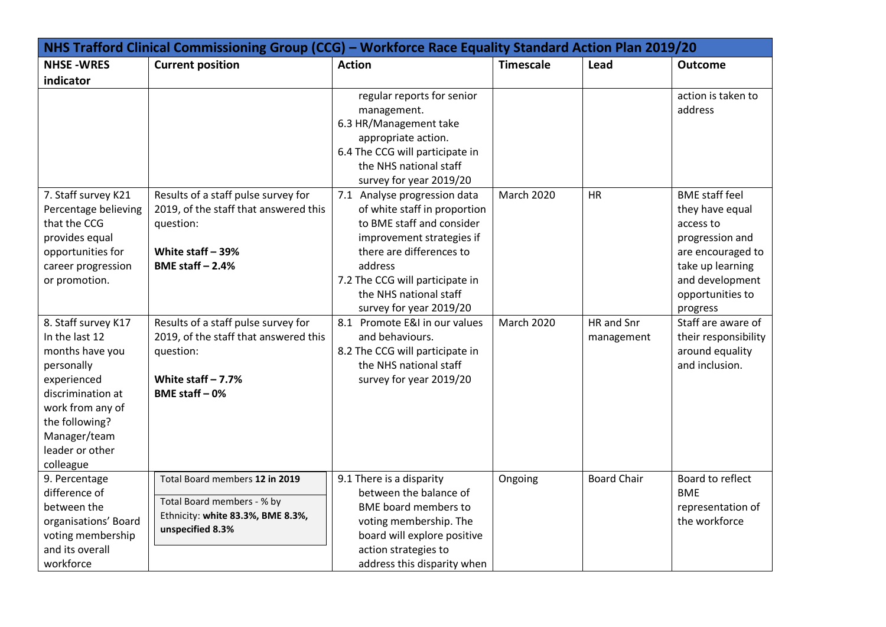| NHS Trafford Clinical Commissioning Group (CCG) - Workforce Race Equality Standard Action Plan 2019/20                                                                                           |                                                                                                                                      |                                                                                                                                                                                                                                                       |                   |                          |                                                                                                                                                                      |  |
|--------------------------------------------------------------------------------------------------------------------------------------------------------------------------------------------------|--------------------------------------------------------------------------------------------------------------------------------------|-------------------------------------------------------------------------------------------------------------------------------------------------------------------------------------------------------------------------------------------------------|-------------------|--------------------------|----------------------------------------------------------------------------------------------------------------------------------------------------------------------|--|
| <b>NHSE-WRES</b><br>indicator                                                                                                                                                                    | <b>Current position</b>                                                                                                              | <b>Action</b>                                                                                                                                                                                                                                         | <b>Timescale</b>  | Lead                     | <b>Outcome</b>                                                                                                                                                       |  |
|                                                                                                                                                                                                  |                                                                                                                                      | regular reports for senior<br>management.<br>6.3 HR/Management take<br>appropriate action.<br>6.4 The CCG will participate in<br>the NHS national staff<br>survey for year 2019/20                                                                    |                   |                          | action is taken to<br>address                                                                                                                                        |  |
| 7. Staff survey K21<br>Percentage believing<br>that the CCG<br>provides equal<br>opportunities for<br>career progression<br>or promotion.                                                        | Results of a staff pulse survey for<br>2019, of the staff that answered this<br>question:<br>White staff - 39%<br>BME staff $-2.4%$  | 7.1 Analyse progression data<br>of white staff in proportion<br>to BME staff and consider<br>improvement strategies if<br>there are differences to<br>address<br>7.2 The CCG will participate in<br>the NHS national staff<br>survey for year 2019/20 | <b>March 2020</b> | <b>HR</b>                | <b>BME</b> staff feel<br>they have equal<br>access to<br>progression and<br>are encouraged to<br>take up learning<br>and development<br>opportunities to<br>progress |  |
| 8. Staff survey K17<br>In the last 12<br>months have you<br>personally<br>experienced<br>discrimination at<br>work from any of<br>the following?<br>Manager/team<br>leader or other<br>colleague | Results of a staff pulse survey for<br>2019, of the staff that answered this<br>question:<br>White staff $-7.7%$<br>BME staff $-0$ % | 8.1 Promote E&I in our values<br>and behaviours.<br>8.2 The CCG will participate in<br>the NHS national staff<br>survey for year 2019/20                                                                                                              | <b>March 2020</b> | HR and Snr<br>management | Staff are aware of<br>their responsibility<br>around equality<br>and inclusion.                                                                                      |  |
| 9. Percentage<br>difference of<br>between the<br>organisations' Board<br>voting membership<br>and its overall<br>workforce                                                                       | Total Board members 12 in 2019<br>Total Board members - % by<br>Ethnicity: white 83.3%, BME 8.3%,<br>unspecified 8.3%                | 9.1 There is a disparity<br>between the balance of<br><b>BME</b> board members to<br>voting membership. The<br>board will explore positive<br>action strategies to<br>address this disparity when                                                     | Ongoing           | <b>Board Chair</b>       | Board to reflect<br><b>BME</b><br>representation of<br>the workforce                                                                                                 |  |